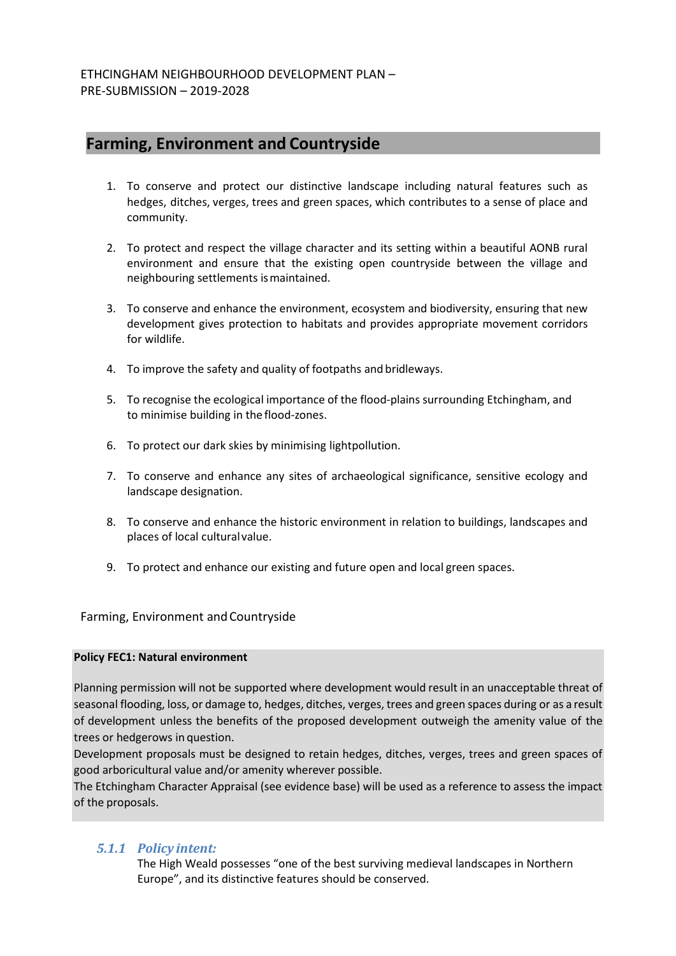# **Farming, Environment and Countryside**

- 1. To conserve and protect our distinctive landscape including natural features such as hedges, ditches, verges, trees and green spaces, which contributes to a sense of place and community.
- 2. To protect and respect the village character and its setting within a beautiful AONB rural environment and ensure that the existing open countryside between the village and neighbouring settlements ismaintained.
- 3. To conserve and enhance the environment, ecosystem and biodiversity, ensuring that new development gives protection to habitats and provides appropriate movement corridors for wildlife.
- 4. To improve the safety and quality of footpaths and bridleways.
- 5. To recognise the ecological importance of the flood-plains surrounding Etchingham, and to minimise building in the flood-zones.
- 6. To protect our dark skies by minimising lightpollution.
- 7. To conserve and enhance any sites of archaeological significance, sensitive ecology and landscape designation.
- 8. To conserve and enhance the historic environment in relation to buildings, landscapes and places of local culturalvalue.
- 9. To protect and enhance our existing and future open and local green spaces.

Farming, Environment andCountryside

#### **Policy FEC1: Natural environment**

Planning permission will not be supported where development would result in an unacceptable threat of seasonal flooding, loss, or damage to, hedges, ditches, verges, trees and green spaces during or as a result of development unless the benefits of the proposed development outweigh the amenity value of the trees or hedgerows in question.

Development proposals must be designed to retain hedges, ditches, verges, trees and green spaces of good arboricultural value and/or amenity wherever possible.

The Etchingham Character Appraisal (see evidence base) will be used as a reference to assess the impact of the proposals.

#### *5.1.1 Policy intent:*

The High Weald possesses "one of the best surviving medieval landscapes in Northern Europe", and its distinctive features should be conserved.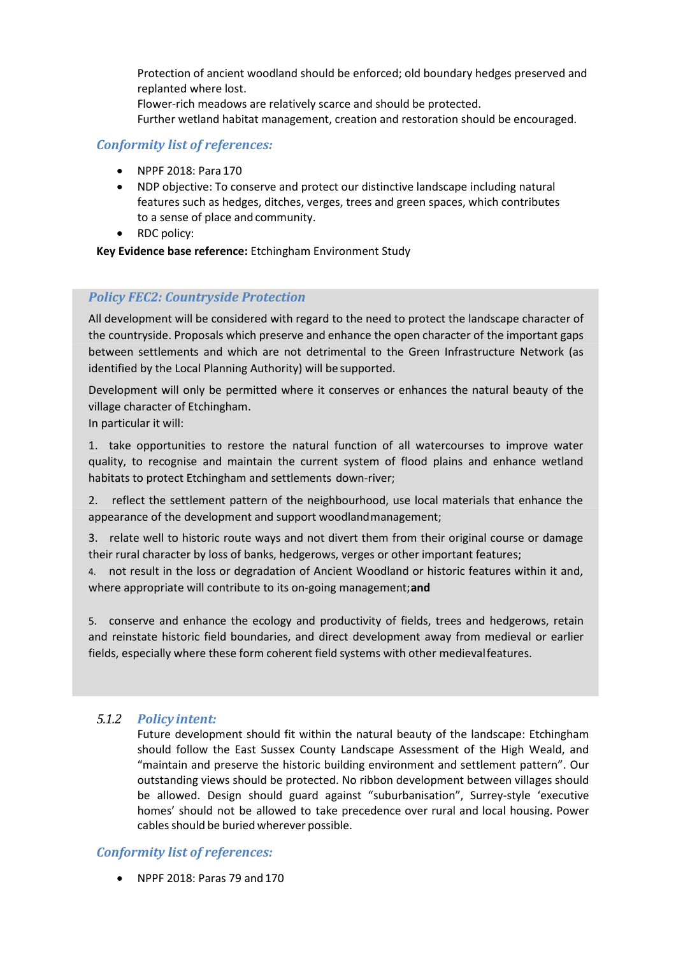Protection of ancient woodland should be enforced; old boundary hedges preserved and replanted where lost. Flower-rich meadows are relatively scarce and should be protected. Further wetland habitat management, creation and restoration should be encouraged.

### *Conformity list of references:*

- NPPF 2018: Para 170
- NDP objective: To conserve and protect our distinctive landscape including natural features such as hedges, ditches, verges, trees and green spaces, which contributes to a sense of place and community.
- RDC policy:

**Key Evidence base reference:** Etchingham Environment Study

#### *Policy FEC2: Countryside Protection*

All development will be considered with regard to the need to protect the landscape character of the countryside. Proposals which preserve and enhance the open character of the important gaps between settlements and which are not detrimental to the Green Infrastructure Network (as identified by the Local Planning Authority) will be supported.

Development will only be permitted where it conserves or enhances the natural beauty of the village character of Etchingham.

In particular it will:

1. take opportunities to restore the natural function of all watercourses to improve water quality, to recognise and maintain the current system of flood plains and enhance wetland habitats to protect Etchingham and settlements down-river;

2. reflect the settlement pattern of the neighbourhood, use local materials that enhance the appearance of the development and support woodlandmanagement;

3. relate well to historic route ways and not divert them from their original course or damage their rural character by loss of banks, hedgerows, verges or other important features;

4. not result in the loss or degradation of Ancient Woodland or historic features within it and, where appropriate will contribute to its on-going management;**and**

5. conserve and enhance the ecology and productivity of fields, trees and hedgerows, retain and reinstate historic field boundaries, and direct development away from medieval or earlier fields, especially where these form coherent field systems with other medievalfeatures.

#### *5.1.2 Policy intent:*

Future development should fit within the natural beauty of the landscape: Etchingham should follow the East Sussex County Landscape Assessment of the High Weald, and "maintain and preserve the historic building environment and settlement pattern". Our outstanding views should be protected. No ribbon development between villages should be allowed. Design should guard against "suburbanisation", Surrey-style 'executive homes' should not be allowed to take precedence over rural and local housing. Power cables should be buried wherever possible.

## *Conformity list of references:*

• NPPF 2018: Paras 79 and170